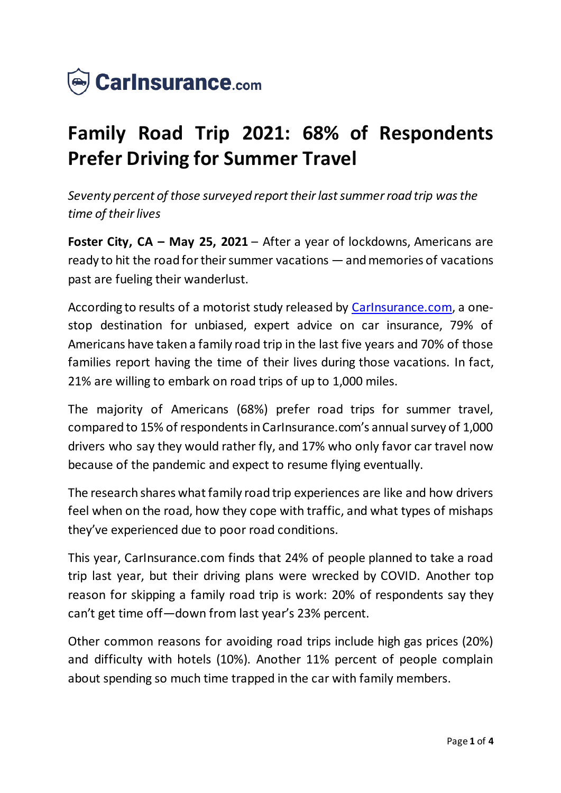

# **Family Road Trip 2021: 68% of Respondents Prefer Driving for Summer Travel**

*Seventy percent of those surveyed report their last summer road trip was the time of their lives*

**Foster City, CA – May 25, 2021** – After a year of lockdowns, Americans are ready to hit the road for their summer vacations —and memories of vacations past are fueling their wanderlust.

According to results of a motorist study released by [CarInsurance.com,](https://www.carinsurance.com/) a onestop destination for unbiased, expert advice on car insurance, 79% of Americans have taken a family road trip in the last five years and 70% of those families report having the time of their lives during those vacations. In fact, 21% are willing to embark on road trips of up to 1,000 miles.

The majority of Americans (68%) prefer road trips for summer travel, compared to 15% of respondents in CarInsurance.com's annual survey of 1,000 drivers who say they would rather fly, and 17% who only favor car travel now because of the pandemic and expect to resume flying eventually.

The research shares what family road trip experiences are like and how drivers feel when on the road, how they cope with traffic, and what types of mishaps they've experienced due to poor road conditions.

This year, CarInsurance.com finds that 24% of people planned to take a road trip last year, but their driving plans were wrecked by COVID. Another top reason for skipping a family road trip is work: 20% of respondents say they can't get time off—down from last year's 23% percent.

Other common reasons for avoiding road trips include high gas prices (20%) and difficulty with hotels (10%). Another 11% percent of people complain about spending so much time trapped in the car with family members.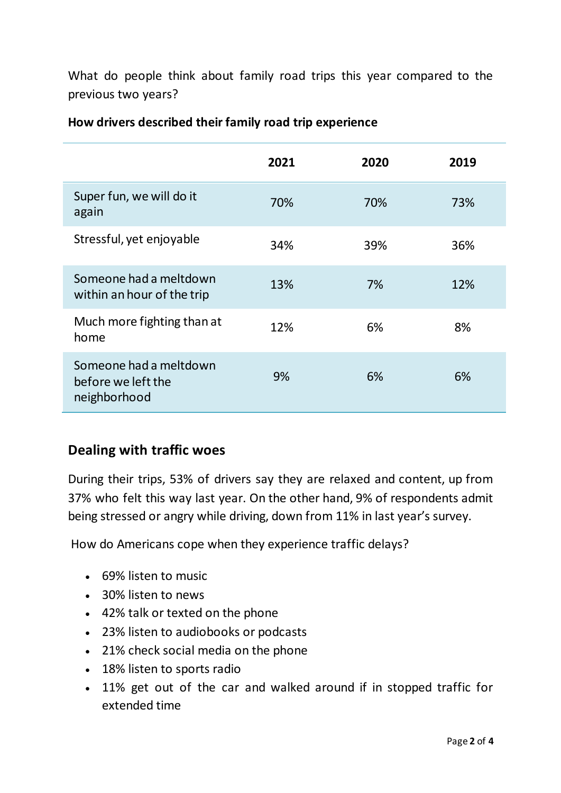What do people think about family road trips this year compared to the previous two years?

|                                                              | 2021 | 2020 | 2019 |
|--------------------------------------------------------------|------|------|------|
| Super fun, we will do it<br>again                            | 70%  | 70%  | 73%  |
| Stressful, yet enjoyable                                     | 34%  | 39%  | 36%  |
| Someone had a meltdown<br>within an hour of the trip         | 13%  | 7%   | 12%  |
| Much more fighting than at<br>home                           | 12%  | 6%   | 8%   |
| Someone had a meltdown<br>before we left the<br>neighborhood | 9%   | 6%   | 6%   |

#### **How drivers described their family road trip experience**

## **Dealing with traffic woes**

During their trips, 53% of drivers say they are relaxed and content, up from 37% who felt this way last year. On the other hand, 9% of respondents admit being stressed or angry while driving, down from 11% in last year's survey.

How do Americans cope when they experience traffic delays?

- 69% listen to music
- 30% listen to news
- 42% talk or texted on the phone
- 23% listen to audiobooks or podcasts
- 21% check social media on the phone
- 18% listen to sports radio
- 11% get out of the car and walked around if in stopped traffic for extended time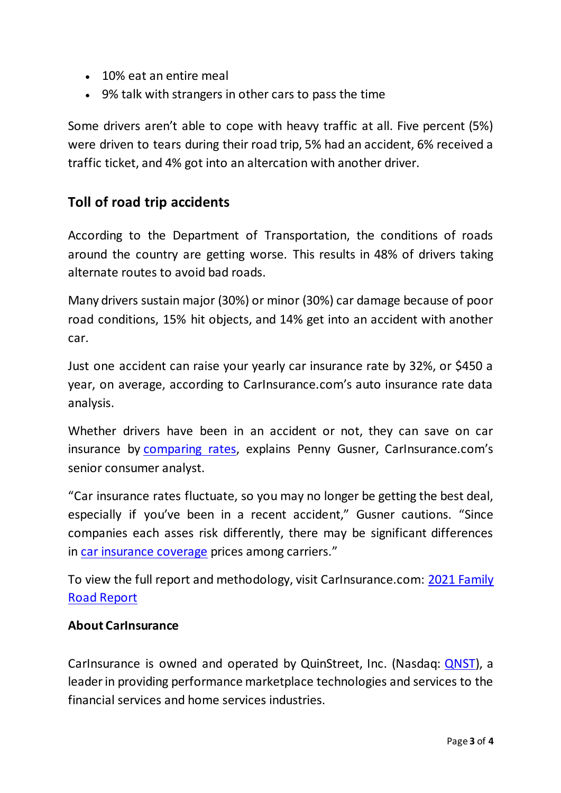- 10% eat an entire meal
- 9% talk with strangers in other cars to pass the time

Some drivers aren't able to cope with heavy traffic at all. Five percent (5%) were driven to tears during their road trip, 5% had an accident, 6% received a traffic ticket, and 4% got into an altercation with another driver.

## **Toll of road trip accidents**

According to the Department of Transportation, the conditions of roads around the country are getting worse. This results in 48% of drivers taking alternate routes to avoid bad roads.

Many drivers sustain major (30%) or minor (30%) car damage because of poor road conditions, 15% hit objects, and 14% get into an accident with another car.

Just one accident can raise your yearly car insurance rate by 32%, or \$450 a year, on average, according to CarInsurance.com's auto insurance rate data analysis.

Whether drivers have been in an accident or not, they can save on car insurance by [comparing rates](https://www.carinsurance.com/car-insurance-comparison.aspx), explains Penny Gusner, Carlnsurance.com's senior consumer analyst.

"Car insurance rates fluctuate, so you may no longer be getting the best deal, especially if you've been in a recent accident," Gusner cautions. "Since companies each asses risk differently, there may be significant differences in [car insurance coverage](https://www.carinsurance.com/types-of-car-insurance) prices among carriers."

To view the full report and methodology, visit CarInsurance.com: [2021 Family](https://www.carinsurance.com/Articles/family-road-trip-report)  [Road Report](https://www.carinsurance.com/Articles/family-road-trip-report)

#### **About CarInsurance**

CarInsurance is owned and operated by QuinStreet, Inc. (Nasdaq: [QNST\)](https://www.nasdaq.com/market-activity/stocks/qnst), a leader in providing performance marketplace technologies and services to the financial services and home services industries.